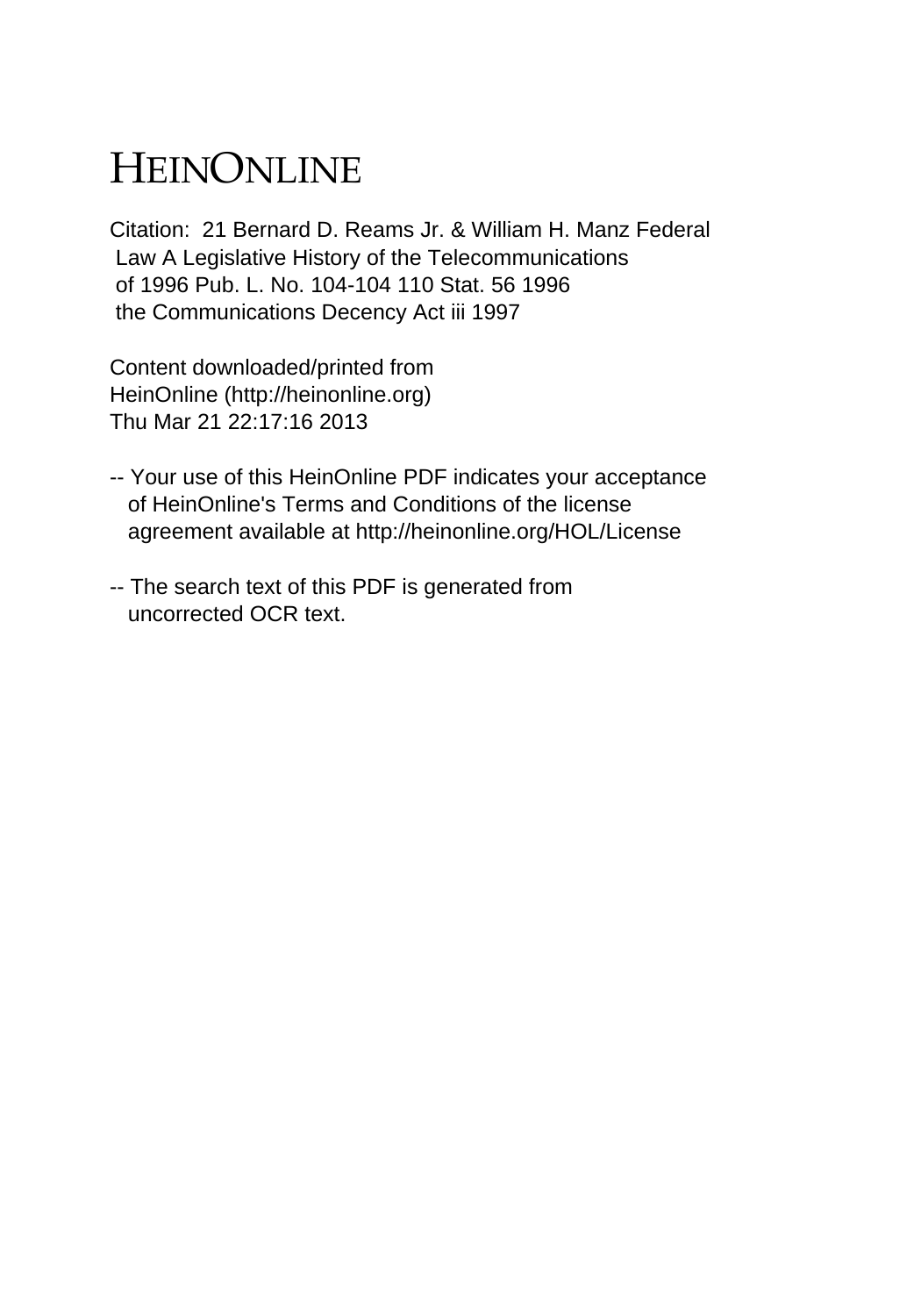## HEINONLINE

Citation: 21 Bernard D. Reams Jr. & William H. Manz Federal Law A Legislative History of the Telecommunications of 1996 Pub. L. No. 104-104 110 Stat. 56 1996 the Communications Decency Act iii 1997

Content downloaded/printed from HeinOnline (http://heinonline.org) Thu Mar 21 22:17:16 2013

- -- Your use of this HeinOnline PDF indicates your acceptance of HeinOnline's Terms and Conditions of the license agreement available at http://heinonline.org/HOL/License
- -- The search text of this PDF is generated from uncorrected OCR text.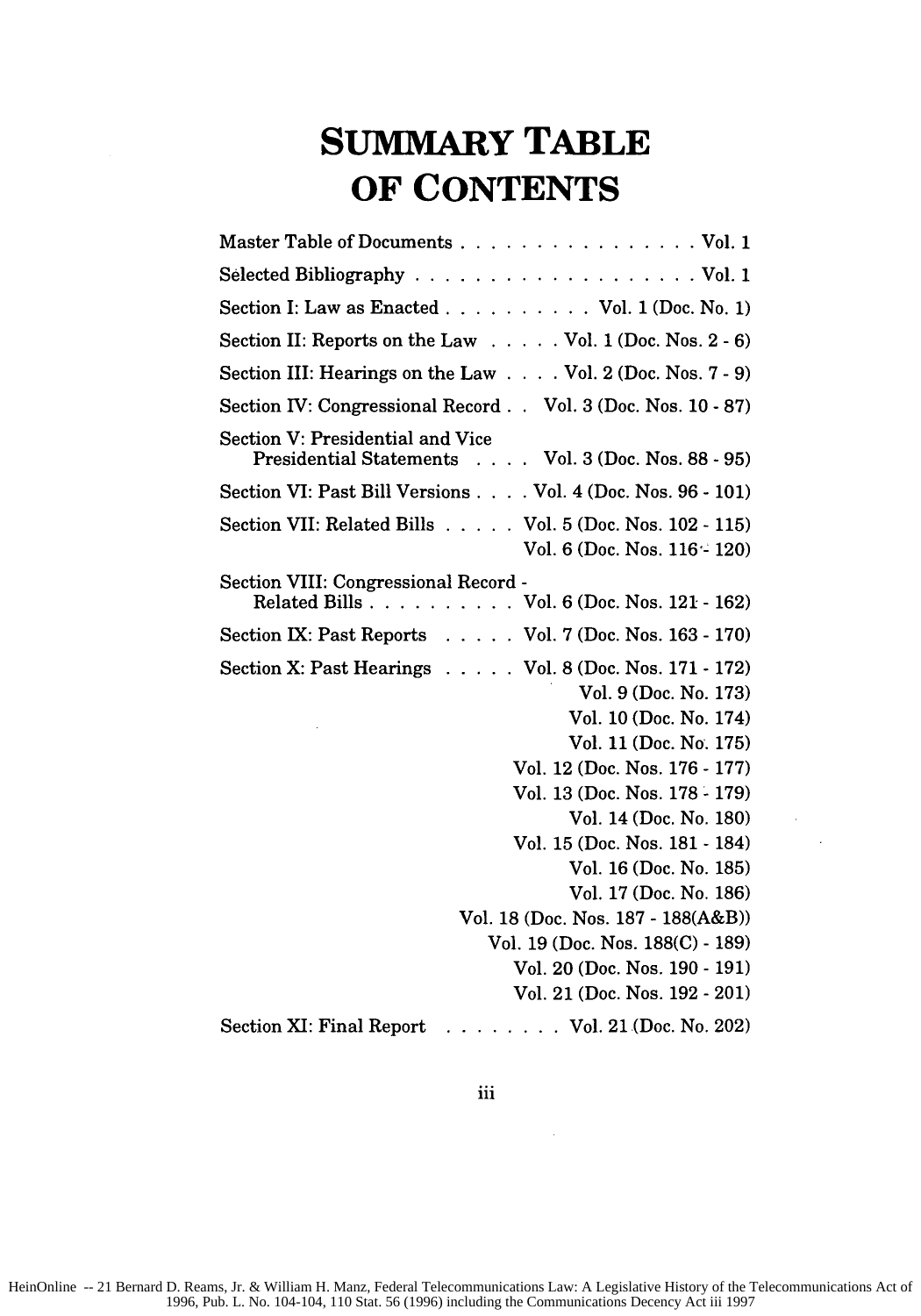## **SUMMARY TABLE OF CONTENTS**

| Master Table of Documents Vol. 1                                                                                                                                                                                                                                                                                                                                                                                                                                |
|-----------------------------------------------------------------------------------------------------------------------------------------------------------------------------------------------------------------------------------------------------------------------------------------------------------------------------------------------------------------------------------------------------------------------------------------------------------------|
|                                                                                                                                                                                                                                                                                                                                                                                                                                                                 |
| Section I: Law as Enacted Vol. 1 (Doc. No. 1)                                                                                                                                                                                                                                                                                                                                                                                                                   |
| Section II: Reports on the Law Vol. 1 (Doc. Nos. 2 - 6)                                                                                                                                                                                                                                                                                                                                                                                                         |
| Section III: Hearings on the Law Vol. 2 (Doc. Nos. 7 - 9)                                                                                                                                                                                                                                                                                                                                                                                                       |
| Section IV: Congressional Record Vol. 3 (Doc. Nos. 10 - 87)                                                                                                                                                                                                                                                                                                                                                                                                     |
| Section V: Presidential and Vice<br>Presidential Statements Vol. 3 (Doc. Nos. 88 - 95)                                                                                                                                                                                                                                                                                                                                                                          |
| Section VI: Past Bill Versions Vol. 4 (Doc. Nos. 96 - 101)                                                                                                                                                                                                                                                                                                                                                                                                      |
| Section VII: Related Bills Vol. 5 (Doc. Nos. 102 - 115)<br>Vol. 6 (Doc. Nos. 116 - 120)                                                                                                                                                                                                                                                                                                                                                                         |
| Section VIII: Congressional Record -<br>Related Bills Vol. 6 (Doc. Nos. 121 - 162)                                                                                                                                                                                                                                                                                                                                                                              |
| Section IX: Past Reports Vol. 7 (Doc. Nos. 163 - 170)                                                                                                                                                                                                                                                                                                                                                                                                           |
| Section X: Past Hearings Vol. 8 (Doc. Nos. 171 - 172)<br>Vol. 9 (Doc. No. 173)<br>Vol. 10 (Doc. No. 174)<br>Vol. 11 (Doc. No. 175)<br>Vol. 12 (Doc. Nos. 176 - 177)<br>Vol. 13 (Doc. Nos. 178 - 179)<br>Vol. 14 (Doc. No. 180)<br>Vol. 15 (Doc. Nos. 181 - 184)<br>Vol. 16 (Doc. No. 185)<br>Vol. 17 (Doc. No. 186)<br>Vol. 18 (Doc. Nos. 187 - 188(A&B))<br>Vol. 19 (Doc. Nos. 188(C) - 189)<br>Vol. 20 (Doc. Nos. 190 - 191)<br>Vol. 21 (Doc. Nos. 192 - 201) |
| $\ldots$ Vol. 21 (Doc. No. 202)<br>Section XI: Final Report                                                                                                                                                                                                                                                                                                                                                                                                     |

 $\mathcal{L}$ 

iii